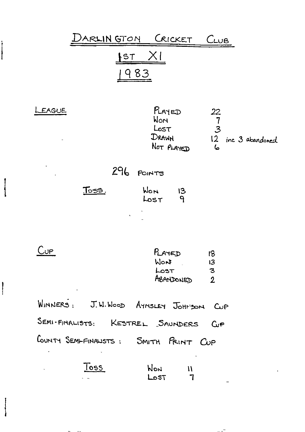

 $\sim$ 

î

 $\begin{array}{c} \hline \rule{0pt}{2ex} \rule{0pt}{2ex} \rule{0pt}{2ex} \rule{0pt}{2ex} \rule{0pt}{2ex} \rule{0pt}{2ex} \rule{0pt}{2ex} \rule{0pt}{2ex} \rule{0pt}{2ex} \rule{0pt}{2ex} \rule{0pt}{2ex} \rule{0pt}{2ex} \rule{0pt}{2ex} \rule{0pt}{2ex} \rule{0pt}{2ex} \rule{0pt}{2ex} \rule{0pt}{2ex} \rule{0pt}{2ex} \rule{0pt}{2ex} \rule{0pt}{2ex} \rule{0pt}{2ex} \rule{0pt}{2ex} \rule{0pt}{2ex} \rule{$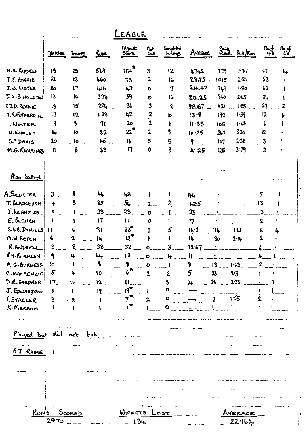|                                 |                         |                       |                                                       | <b>EAGUE</b>                |                     |                                   |                                     |              |                 |                     |                      |
|---------------------------------|-------------------------|-----------------------|-------------------------------------------------------|-----------------------------|---------------------|-----------------------------------|-------------------------------------|--------------|-----------------|---------------------|----------------------|
|                                 | Marbes                  | <i>Imannes</i>        | Runs                                                  | Highest<br>Score            | $\eta_{o}$ Ł<br>Out | Completed<br>Innings              | Avenge                              |              | Pails Bells/Run | $n_{eff}$<br>43     | $n_{\circ}$ of<br>63 |
| N.A. RIPPELL                    | 18                      | 15                    | 569                                                   | 112 <sup>4</sup>            | $\mathbf{3}$        | 12                                | 47.42                               | 779          | 1.37            | $\mathfrak{c}_{1}$  | 14                   |
| T.J. HAGGIE                     | $\mathfrak{A}$          | 18                    | 460                                                   | 73                          | $\mathbf 2$         | $\mathsf{R}$                      | $28.75 -$                           | 1015         | 2.21            | 53                  |                      |
| J.W. LISTER                     | 20                      | 17                    | طالما                                                 | 47                          | $\bullet$           | 17                                | 24.47                               | 749          | 1.80            | 53                  |                      |
| J.A. SINGLETON                  | 18                      | 16                    | 324                                                   | 59                          | $\bullet$           | 16                                | 20.25                               | 960          | 2.15            | 34                  |                      |
| CJD. REEKIE                     | 18                      | 15                    | $224 -$                                               | 3 <sub>b</sub>              | $\boldsymbol{3}$    | 12                                | $18,67 -$                           | h2l          | 1.88<br>$\sim$  | 27                  | 2                    |
| A.R.FOTHERCILL                  | 17                      | 12                    | 138                                                   | 12                          | $\frac{2}{2}$       | IO                                | $13 - 3$                            | 192          | 1.39            | 12                  |                      |
| I. WINTER                       | 9                       | $\boldsymbol{\delta}$ | 71                                                    | 20                          |                     | þ                                 | $11 - 83$                           | 105          | $1 - 18$        | b                   |                      |
| N. WHALEY                       | $\mathbf{l}_+$          | 10                    | 82                                                    | $22^*$                      | $\mathbf 2$         | $\bf{8}$                          | 10.25                               | 262          | 320             | 12                  |                      |
| S.P. DAVIS                      | 20                      | lo                    | 45                                                    | 16                          | 5                   | 5                                 | q.                                  | 107          | 1.38            | 3                   |                      |
| M.G. ROMAINES                   | $\mathbf{I}$            | 8                     | 33                                                    | 11                          | 0                   | 8                                 | 4.125                               | 125          | 3.79            | $\mathbf{2}$        |                      |
|                                 |                         |                       |                                                       |                             |                     |                                   |                                     |              |                 |                     |                      |
| Also batted                     |                         |                       |                                                       |                             |                     |                                   |                                     |              |                 |                     |                      |
| A.SCOTTER                       |                         | 2                     |                                                       |                             |                     |                                   |                                     |              |                 |                     |                      |
|                                 | 3 <sup>1</sup>          |                       | 44                                                    | 43                          |                     |                                   | 44                                  |              |                 | 5                   |                      |
| T. BLACKBURH                    | 4                       | 3                     | 85                                                    | 56                          |                     | 2                                 | 42.5                                |              |                 | 13                  |                      |
| J.RENNOLDS                      | t                       |                       | 23                                                    | 23 <sub>1</sub>             | $\bullet$           |                                   | 23                                  |              |                 | $\ddot{\textbf{3}}$ |                      |
| $E.$ $b$ LENCH                  | 1                       |                       | 17<br>$\mathbf{r}$                                    | $\mathbf{1}$                | $\mathbf{o}$        |                                   | 17                                  |              |                 | $\boldsymbol{2}$    |                      |
| S.R.B. DANIELS!                 | $\mathbf{1}$            |                       | $31 -$                                                | $33^{\mathrm{m}}$           |                     |                                   | 16.2                                | $114 -$      | H               |                     |                      |
| M.W. HATCH                      | ι.                      |                       | 14                                                    | 12 <sup>7</sup>             |                     |                                   | 14                                  | $30^{\circ}$ | 2.14            |                     |                      |
| R. ANDREN                       | $\overline{\mathbf{3}}$ | 3                     | $38 -$                                                | $32 -$                      | $\mathbf{o}$        |                                   | $3 - 12.67$                         |              |                 |                     |                      |
| RH. BURNLEY                     | 9                       | 4                     | 44                                                    | 13                          |                     | $0$ $4$                           | <u> 1999 - Bart</u><br>$\mathbf{r}$ |              |                 |                     |                      |
| M.G. BURGESS                    | <b>lo</b>               | $\mathbf{I}$          | $\boldsymbol{\mathsf{S}}$<br><b>Contract Contract</b> | 8<br>$\overline{a}$         | $0 \sim 1$          |                                   | \$                                  | $-13$ $1.63$ |                 | $\mathbf{2}$        |                      |
| C. MACKENZIE!                   | $5^{\circ}$             | h.                    | 10                                                    |                             |                     | $\sim$ 2                          | 5 —                                 | $23$ ____    | 2.3             |                     |                      |
| D.R. GARDNER                    | 17 <sub>1</sub>         |                       | 12                                                    | $\mathbf{H}$<br>$\sim$      | $1 -$               | $3^{\circ}$                       | $\mathbf{L}$                        | 28           | 2.33            |                     |                      |
| J. EDWARDSON                    | $V_{\rm{max}}$          |                       | <b>I</b>                                              | $19^{\circ}$                |                     | $\bullet$                         |                                     |              |                 |                     |                      |
| P. STABLER                      | 3 <sup>1</sup>          |                       | 11                                                    | $T_{\text{max}}^{\text{R}}$ | $2 - 9$             |                                   | $\frac{1}{2}$                       |              | l'55            |                     |                      |
| R. MERSON                       |                         |                       |                                                       |                             |                     | $\bullet$ $\bullet$               |                                     |              |                 |                     |                      |
|                                 |                         |                       |                                                       |                             |                     |                                   |                                     |              |                 |                     |                      |
| Played but did not bat          |                         |                       |                                                       |                             |                     |                                   |                                     |              |                 |                     |                      |
|                                 |                         |                       |                                                       |                             |                     |                                   |                                     |              |                 |                     |                      |
| $\sim$ 100 $\sim$<br>R.J. RAINE |                         |                       |                                                       |                             |                     |                                   | $\sim$ $\sim$ $\sim$                |              |                 |                     |                      |
|                                 |                         |                       |                                                       |                             |                     |                                   |                                     |              |                 |                     |                      |
|                                 |                         |                       |                                                       |                             |                     |                                   |                                     |              |                 |                     |                      |
|                                 |                         |                       |                                                       |                             |                     |                                   |                                     |              |                 |                     |                      |
|                                 |                         |                       |                                                       |                             |                     |                                   |                                     |              |                 |                     |                      |
|                                 |                         |                       |                                                       |                             |                     |                                   |                                     |              |                 |                     |                      |
|                                 |                         |                       |                                                       |                             |                     |                                   |                                     |              |                 |                     |                      |
|                                 |                         |                       |                                                       |                             |                     |                                   |                                     |              |                 |                     |                      |
|                                 | RUN'S SCORED            |                       |                                                       | WICKETS LOST                |                     |                                   |                                     |              | AVERAGE         |                     |                      |
|                                 | 2970                    |                       |                                                       | 134                         |                     | and the state of the state of the |                                     |              | 22.164          |                     |                      |

 $\mathbf{r}$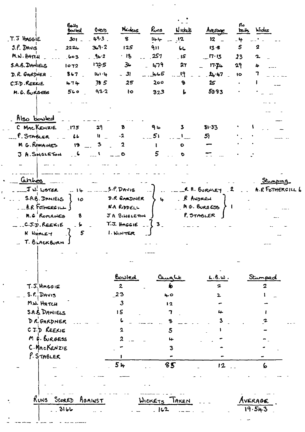|                         | Balls<br><b>bouled</b> | Overs            | Minders          | Runs          | $N$ ick $E$                 | Average            | По<br>حالجا         | Wides                   |
|-------------------------|------------------------|------------------|------------------|---------------|-----------------------------|--------------------|---------------------|-------------------------|
| T.J HAGGIE              | $301 -$                | 493.             | $\mathbf{g}$     | 144           | $\overline{12}$             | 12 <sub>2</sub>    | -4                  |                         |
| $3.$ $\ell$ . Davis     | 2224                   | 369.2            | 125              | 911           | しし                          | $13 - 8$           | $\pmb{\mathcal{S}}$ | 2                       |
| M.W. HATCH              | $\log 3$               | $-96.2$          | $\cdot$ 18       | 257           | $\overline{\phantom{a}}$ 15 | $-$ לי $\cdot$ י   | 23                  | $\mathbf{r}$            |
| S.A.B. DANIELS          | 1072                   | פיגרו            | $3-$             | 479           | 27                          | $17 - 74$          | 29                  | 4                       |
| D. R. GARDNER           | $8 - 7$                | $141 - 4$        | $-3$             | 465           | 19                          | 24.47              | $\overline{1}$      | 7                       |
| C.J.D. REEKIE           | 474                    | 78 <sub>5</sub>  | 25               | 200           | $\bullet$                   | $25^{\circ}$       | $\bullet$           |                         |
| M. G. BURGES            | 560                    | 93.2             | $1\circ$         | 323           | $\mathbf{r}$                | 53.93              |                     |                         |
|                         |                        |                  |                  |               |                             |                    |                     |                         |
|                         |                        |                  |                  |               |                             |                    |                     |                         |
| Also bowled             |                        |                  |                  |               |                             |                    |                     |                         |
| C MACKEHZIE             | $-175$                 | 29               | ъ                | ۹⊾            | 3                           | 31.33              |                     |                         |
| P. STABLER              | L                      | $W_{\text{max}}$ | $-2$             | 51            |                             | 51                 |                     |                         |
| M G. ROMAINES           | 19                     | 3<br>المناسب     | $\mathbf{z}$     | U             | $\bullet$                   |                    |                     |                         |
| <b>J. A. SINGLETON</b>  | $\sim$ 6               | $\sim$ $\sim$    | $\bullet$        | 5             | $\bullet$                   |                    |                     |                         |
|                         |                        |                  |                  |               |                             |                    |                     |                         |
|                         |                        |                  |                  |               |                             |                    |                     |                         |
| <i>Carthèo</i> s        |                        |                  |                  |               |                             |                    |                     | Stumping                |
| JW. LISTER              | $-11$                  |                  | $5.9.$ DAVIS     |               |                             | R. A. BURNLEY<br>2 |                     | A.R FOTHERGILL 6        |
| S.A.B. DANIELS          | 10                     |                  | D.R GARDNER      | 4             | R ANDREN                    |                    |                     |                         |
| . __R.R FOTHERS ILL J   |                        |                  | N.A RODELL       |               |                             | MG. BURBESS        |                     |                         |
| M.G ROMAINES            | 8                      |                  | JA SINGLETON     |               |                             | P. STABLER         |                     |                         |
| C.J.D. REEKIE           | b                      |                  | T.J. HAGGIE      | $\mathbf{3}$  |                             |                    |                     |                         |
| <b>N</b> WHALEY         | 5                      |                  | I. WINTER        |               |                             |                    |                     |                         |
| T. BLACKBURN            |                        |                  |                  |               |                             |                    |                     |                         |
|                         |                        |                  |                  |               |                             |                    |                     |                         |
|                         |                        |                  |                  |               |                             |                    |                     |                         |
|                         |                        |                  |                  |               |                             |                    |                     |                         |
|                         |                        |                  | <u>Bowled</u>    |               |                             | L.8.W.             |                     | Stunper                 |
| $T.S.$ Hacgie           |                        |                  | $\boldsymbol{z}$ |               | ф                           | 2                  |                     | $\overline{\mathbf{z}}$ |
| $S. R.$ DAVIS           |                        |                  | 23               | 40            |                             |                    |                     |                         |
| M.W. HATCH              |                        |                  | $\mathbf{3}$     | 12            |                             |                    |                     |                         |
| <b>S.A.S. DAMIELS</b>   |                        |                  | 15               |               | 7                           |                    |                     |                         |
| DR GARDNER              |                        |                  |                  |               | 8                           |                    |                     |                         |
| C.J.D REEKIE            |                        |                  | 2                |               | $\mathbf{5}$                |                    |                     |                         |
| $M \notin \text{Gures}$ |                        |                  |                  |               |                             |                    |                     |                         |
| C. MACKENZIE            |                        |                  |                  |               |                             |                    |                     |                         |
| $P.$ STABLER            |                        |                  |                  |               |                             |                    |                     |                         |
|                         |                        |                  | 54               |               | 35                          | 12                 | ing a               | 6                       |
|                         |                        |                  |                  |               |                             |                    |                     |                         |
|                         |                        |                  |                  |               |                             |                    |                     |                         |
|                         |                        |                  |                  |               |                             |                    |                     |                         |
| RUNS SCORED             |                        | AGAINST          |                  | WICKETS TAKEN |                             |                    |                     | Average                 |
|                         | $-3166$                |                  |                  | - 162         |                             |                    |                     | 19.543                  |
|                         |                        |                  |                  |               |                             |                    |                     |                         |
|                         |                        |                  |                  |               |                             |                    |                     |                         |

 $\cdot$ 

 $\mathcal{L}$ 

 $\mathbb{Z}$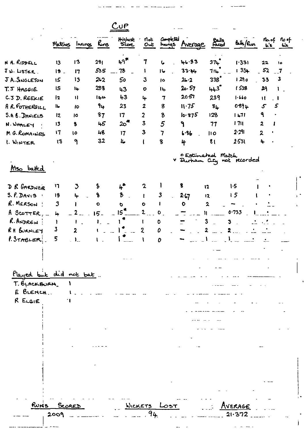|                                 |                     |                          |           | uP.              |                  |                          |                       |                   |                            |                                  |              |
|---------------------------------|---------------------|--------------------------|-----------|------------------|------------------|--------------------------|-----------------------|-------------------|----------------------------|----------------------------------|--------------|
|                                 |                     | Matches Innings          | hvrs      | Highest<br>Score | not<br>٠<br>Out  | Completed                | <b>Invites Avenue</b> | Balls<br>Faced    | 64/8                       | no.of noof<br>$\mathbf{L}$ is    | 63           |
| N A. RIDDELL                    | 13                  | 13                       | 281       | $h9^*$           | 7                | し                        | 46.33                 | 374               | 1.331                      | 22                               | ١٥           |
| JW. LISTER.                     | 12.                 | 17                       | 535       | 78               | 1                | 16                       | 33.44                 | 714               | 1334                       | 52                               | $-7$         |
| JA. SNGLETON                    | 15                  | 13                       | $2 - 2$   | 50               | 3                | $\overline{1}$           | 26.2                  | 338 <sup>°</sup>  | 1290                       | 33                               | $\mathbf{3}$ |
| T.J HAGGIE                      | IS                  | 1u-                      | 288       | 43               | $\bullet$        | 14                       | 20.57                 | 443               | 1538                       | 29                               | $\mathbf{1}$ |
| C.J.D. REEKIE                   | 2                   | $\mathbf{H}$             | ا 44      | 43               | 4                | 7                        | 2057                  | 239               | 1.660                      | $\mathbf{H}$<br>$\blacksquare$   |              |
| A R. FOTHERGILL                 | <b>اا</b>           | $\mathbf{10}$            | 94        | 23               | $\boldsymbol{2}$ | 8                        | 11.75                 | $8+$              | 0894                       | 5<br>$\mathcal{F}_{\mathcal{L}}$ |              |
| <b>S.A. B. DANIELS</b>          | 12                  | 10                       | 87        | 17               | $\overline{2}$   | 8                        | 10.875                | 128               | 1471                       | ٩                                |              |
| N. WHALEY                       | 13                  | 8                        | 45        | 2ం*              | 3                | 5                        | ۹                     | 77                | 171                        | $\mathbf{2}$<br>ı                |              |
| M G. ROMAINES                   | $\mathbf{17}$       | 10                       | 48        | 17               | 3                | $\overline{\mathcal{L}}$ | 1.86                  | 10                | 2.291                      | $\boldsymbol{\lambda}$           |              |
| 1. WINTER                       | 13                  | ٩                        | 32        | ll.              | t                | 8                        | 4                     | $\mathbf{g}$      | 2.531                      | 4                                |              |
| <u>Mso</u> batted               |                     |                          |           |                  |                  |                          | O Estimated Match     |                   | V Durham City not recorded |                                  |              |
|                                 |                     |                          |           |                  |                  |                          |                       |                   |                            |                                  |              |
| D R GARDNER                     | רו                  | $\mathcal{I}$            | S         | "⊦               | 2                |                          | 8                     | 12                | 1.5                        |                                  |              |
| $S. f.$ DAVIS<br>$\blacksquare$ | 18                  | 4                        | 8         | 8                |                  | 3                        | 2.67                  | 12                | 15                         |                                  |              |
| R. MERSON !                     | $\boldsymbol{3}$    |                          | $\bullet$ | O                | O                |                          | $\bullet$             | 2                 |                            |                                  |              |
| $A$ SCOTTER,                    | 4                   |                          | $15 -$    | 15               | 2                | O                        | n                     |                   | 0.733                      |                                  |              |
| R. ANDREW :                     | T                   |                          | ł.,       |                  | t                | $\mathbf 0$              |                       | 3<br>$\mathbf{3}$ |                            |                                  |              |
| RH BURNLEY                      | 3                   | 2                        |           |                  | $\boldsymbol{2}$ | 0                        |                       | 2<br>2            |                            |                                  |              |
| P. STABLER!                     | 5                   | $\mathbf{I}_{\text{in}}$ |           |                  |                  | 0                        |                       |                   |                            |                                  |              |
|                                 |                     |                          |           |                  |                  |                          |                       |                   |                            |                                  |              |
| Played but did not bat.         |                     |                          |           |                  |                  |                          |                       |                   |                            |                                  |              |
| T. BLACKBURN.                   |                     |                          |           |                  |                  |                          |                       |                   |                            |                                  |              |
| E BLENCH.                       |                     |                          |           |                  |                  |                          |                       |                   |                            |                                  |              |
| R ELGIE                         |                     |                          |           |                  |                  |                          |                       |                   |                            |                                  |              |
|                                 |                     |                          |           |                  |                  |                          |                       |                   |                            |                                  |              |
|                                 |                     |                          |           |                  |                  |                          |                       |                   |                            |                                  |              |
|                                 |                     |                          |           |                  |                  |                          |                       |                   |                            |                                  |              |
|                                 |                     |                          |           |                  |                  |                          |                       |                   |                            |                                  |              |
|                                 |                     |                          |           |                  |                  |                          |                       |                   |                            |                                  |              |
|                                 |                     |                          |           |                  |                  |                          |                       |                   |                            |                                  |              |
|                                 |                     |                          |           |                  |                  |                          |                       |                   |                            |                                  |              |
|                                 |                     |                          |           |                  |                  |                          |                       |                   |                            |                                  |              |
|                                 |                     |                          |           |                  |                  |                          |                       |                   |                            |                                  |              |
|                                 | RUNS SCORED<br>2009 |                          |           |                  | 94               | <u>WICKETS</u> LOST      |                       |                   | AVERAGE<br>21.372          |                                  |              |
|                                 |                     |                          |           |                  |                  |                          |                       |                   |                            |                                  |              |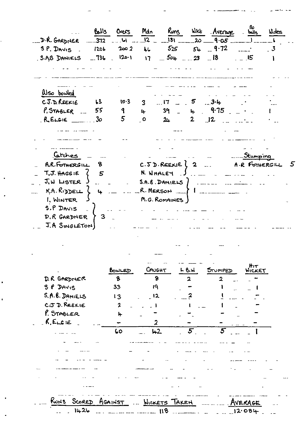| D.R. GARDNER _372  61                                   |                              | Balls Overs<br>$1206$ $2002$ | Mdn                              | $525$ $54 - 9.72$                                                                                             |                | Runs Wikk Average<br>$12 - 131 - 20 - 9.05$ | llo<br>- balls | Nides<br>$\overline{\mathbf{3}}$ |
|---------------------------------------------------------|------------------------------|------------------------------|----------------------------------|---------------------------------------------------------------------------------------------------------------|----------------|---------------------------------------------|----------------|----------------------------------|
| S.P. DAVIS<br>S.AB DANIELS                              | $-736$ 120.1                 |                              | $\overline{16}$<br>$\mathbf{17}$ | $-504 - 23 - 18$                                                                                              |                |                                             | $=$ $\sqrt{5}$ |                                  |
| Wso bowled                                              |                              |                              |                                  |                                                                                                               |                |                                             |                |                                  |
| CJ.D. REEKIE                                            | L <sup>2</sup>               | 10.3                         | $\overline{3}$                   | $\overline{\phantom{a}}$ .                                                                                    | 5              | 3.4                                         |                |                                  |
| $P$ , STABLER                                           | 55                           | $\mathbf 9$                  | $\mathbf{p}$                     | 39                                                                                                            |                | <sub>ዙ</sub> የ∙75                           |                |                                  |
| $R$ <b>ELGIE</b> ________30                             |                              | 5                            | $\overline{\phantom{a}}$ O       | 24                                                                                                            | 2 <sub>1</sub> | 12                                          |                |                                  |
|                                                         |                              |                              |                                  |                                                                                                               |                |                                             |                |                                  |
| Catches                                                 |                              |                              |                                  |                                                                                                               |                |                                             | <u>Stumpin</u> |                                  |
| A.R. FOTHERGILL<br>T.J. HAGGIE<br>J.W LISTER J          | 8<br>$\overline{\mathbf{5}}$ |                              |                                  | $C.\overline{S}$ $D$ . REEKIE $\begin{bmatrix} 2 \end{bmatrix}$<br>N. WHALEY<br>$S.A.B.DANIELS$ $\sim$ $\sim$ |                |                                             | A.R FOTHERGILL |                                  |
| N.A.Rv                                                  | $\overline{4}$               |                              |                                  |                                                                                                               |                | _R. MERSON ___ }   ____________             |                |                                  |
| I. WINTER<br>S.P DAVIS<br>D.R GARDNER<br>J.A SINGLETON) | 3                            |                              |                                  | M.G. ROMAINES )                                                                                               |                |                                             |                |                                  |

 $\label{eq:2.1} \frac{d\mathbf{r}}{d\mathbf{r}} = \frac{1}{2} \left( \frac{d\mathbf{r}}{d\mathbf{r}} + \frac{d\mathbf{r}}{d\mathbf{r}} \right) + \frac{d\mathbf{r}}{d\mathbf{r}} = \frac{1}{2} \left( \frac{d\mathbf{r}}{d\mathbf{r}} + \frac{d\mathbf{r}}{d\mathbf{r}} \right) + \frac{d\mathbf{r}}{d\mathbf{r}} = \frac{1}{2} \left( \frac{d\mathbf{r}}{d\mathbf{r}} + \frac{d\mathbf{r}}{d\mathbf{r}} \right) + \$ 

 $\label{eq:4} \begin{array}{lllllll} \mathbf{u} & = & \mathbf{u} & \mathbf{u} & \mathbf{u} & \mathbf{u} & \mathbf{u} \\ & & \mathbf{u} & \mathbf{u} & \mathbf{u} & \mathbf{u} & \mathbf{u} \\ & & & \mathbf{u} & \mathbf{u} & \mathbf{u} & \mathbf{u} \\ & & & & \mathbf{u} & \mathbf{u} & \mathbf{u} & \mathbf{u} \\ & & & & \mathbf{u} & \mathbf{u} & \mathbf{u} & \mathbf{u} \\ & & & & & \mathbf{u} & \mathbf{u} & \mathbf{u} & \$ 

 $\omega$  and  $\omega$  is

|                | BOWLED       | CANGHT   | しらん | STUMPED | $H_1\tau$<br>WICKET |
|----------------|--------------|----------|-----|---------|---------------------|
| D. R GARDNER   | $\mathbf{8}$ | $\bf{8}$ | 2   | 2       |                     |
| S P DAVIS      | 33           | 19       |     |         |                     |
| S.A.B. DANIELS | 13           | ្ភ 12    |     |         |                     |
| C.J.D. REEKIE  | $\mathbf{2}$ |          |     |         |                     |
| P. STABLER     | 4            |          |     |         |                     |
| $R$ , ELGIE    |              | 2        |     |         |                     |
|                | 60           | 42       | 5   | 5       |                     |
|                |              |          |     |         |                     |
|                |              |          |     |         |                     |
|                |              |          |     |         |                     |
|                |              |          |     |         |                     |
|                |              |          |     |         |                     |
|                |              |          |     |         |                     |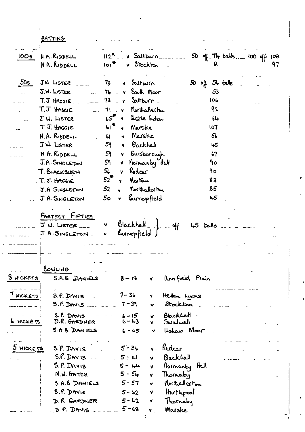BATTING

J.

| <b>100s</b>      | N.R.RI                                 | $112^2$ . v Saltburn                  |                      |                |                |                |                | 50 of T4 balls loo off 108 |
|------------------|----------------------------------------|---------------------------------------|----------------------|----------------|----------------|----------------|----------------|----------------------------|
|                  | NA. RIDDELL                            | $101^{\frac{1}{2}}$ v Stockton        |                      |                |                |                |                | 97                         |
| 50s              | $JW$ LISTER $\ldots$ $\ldots$ $\ldots$ | $78 - x$ Saltburn.                    |                      |                |                | 50 off 56 take |                |                            |
|                  | $J.W.$ LISTER                          | $74 - y$ South Moor                   |                      |                |                |                | 53             |                            |
|                  | T.J. HAGGIE                            | $73 - y$ Saltburn $-$                 |                      |                |                |                | 106            |                            |
|                  | T.J HAGGIE                             | 71 v Northallerton                    |                      |                |                |                | 92             |                            |
|                  | JW. LISTER                             | $55$ v liste Eden                     |                      |                |                |                | 64             |                            |
|                  | T J. HAGGIE                            | $61^{\frac{1}{12}}$                   | y Marske             |                |                |                | 107            |                            |
|                  | N.A. RIDDELL                           | 61                                    | v Marske             |                |                |                | 5 <sub>b</sub> |                            |
|                  | JW. LISTER                             | 5٩                                    | v Backhall           |                |                |                | 45             |                            |
|                  | N A. RIDDELL<br>$\omega$ and $\omega$  | 59 J                                  | v Guisborough        |                |                |                | b7             |                            |
|                  | J.A. SINGLETON                         | 5٩                                    | v Normanby Half      |                |                |                | 9٥             |                            |
|                  | T. BLACKBURN                           | 5 <sub>l</sub><br>$\mathbf{Y}$        | Redcer               |                |                | ٩o             |                |                            |
|                  | T.J. HAGGIE                            | $52$ <sup><math>\text{F}</math></sup> | v Norton             |                |                | 83             |                |                            |
|                  | J.A SINGLETON                          | 52<br>$\mathbf{v}$                    | northaller ton       |                |                | 85             |                |                            |
|                  | J A. SINGLETON                         | 50 <b>S</b>                           | v Burnopfield        |                |                |                | 45             |                            |
|                  |                                        |                                       |                      |                |                |                |                |                            |
|                  | BOWLING                                |                                       |                      |                |                |                |                |                            |
| <u>8 NICKETS</u> | S.A.B DANIELS                          |                                       | $8 - 18$             | V <sub>1</sub> | annfield Plain |                |                |                            |
|                  |                                        |                                       |                      |                |                |                |                |                            |
| 7 MICKETS        | $S.P.$ DAYIS                           |                                       | $7 - 36$             | ₩              | Hether Lyons   |                |                |                            |
|                  | $9.9.$ DAVIS $_{---}$                  |                                       | $7 - 39$             | ×.             | Stockton       |                |                |                            |
|                  | S.P. DAVIS                             |                                       | $6 - 15$             | V              | Blackhall      |                |                |                            |
| <b>6 NICKETS</b> | D.R. GARDNER                           |                                       | $6 - 43$             | Y.             | Swalwell       |                |                |                            |
|                  | S.A B. DANIELS                         |                                       | $6 - 65$             | v.             | Ushaw Moor     |                |                |                            |
|                  |                                        |                                       |                      |                |                |                |                |                            |
| 5 HICKETS        | S.P. DAVIS                             |                                       | $5 - 34$             | $\mathbf{v}$ . | Redcar         |                |                |                            |
|                  | $S.P.$ $DAV IS$                        |                                       | $5 - 41$             | <b>V</b>       | Blackhall      |                |                |                            |
|                  | S.P. DAVIS                             |                                       | $5 - \mu$            | Y              | Mormanby Hall  |                |                |                            |
|                  | M.W. HATCH                             |                                       | $5 - 54$             | v              | Thornaby       |                |                |                            |
|                  | S A.B DANIELS                          |                                       | $5 - 57$             | v              | Morthaller ron |                |                |                            |
|                  | S.P. DAVIS                             |                                       | $5 - 62$             | V              | Hutlepool      |                |                |                            |
|                  | D.R GARDNER                            |                                       | $5 - 62$<br>$5 - 68$ | ٧              | Thornaby       |                |                |                            |
|                  | $3$ P. DAVIS $-1$                      |                                       |                      | ⊾ ۷            | Marske         |                |                |                            |

ł,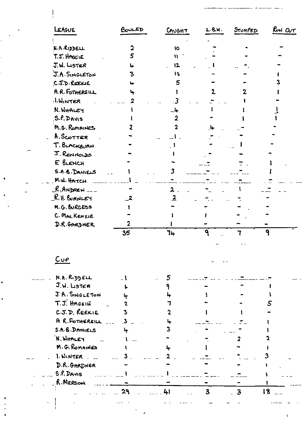| LEAGUE                              | BONLED                  | CAUCHT                  | L.B.W.                  | STUMPED                 | RUN OUT |
|-------------------------------------|-------------------------|-------------------------|-------------------------|-------------------------|---------|
| <b>N.A.RIDDELL</b>                  | 2                       | Ю                       |                         |                         |         |
| T.J. HAGGIE                         | 5                       | $\mathbf{u}$            |                         |                         |         |
| J.W. LISTER                         | 4                       | 12                      |                         |                         |         |
| J.A. SINGLETON                      | 3                       | 12                      |                         |                         |         |
| CJ.D. REEXIE                        | u                       | 5                       |                         |                         |         |
| A.R. FOTHERGILL                     | 4                       |                         |                         |                         |         |
| <b>I.WINTER</b>                     |                         |                         |                         |                         |         |
| N. WHALEY                           |                         |                         |                         |                         |         |
| S.P. DAVIS                          |                         | 2                       |                         |                         |         |
| M.G. ROMAINES                       |                         | 2                       |                         |                         |         |
|                                     |                         |                         |                         |                         |         |
| A. SCOTTER                          |                         |                         |                         |                         |         |
| T. BLACKBURN                        |                         |                         |                         |                         |         |
| J. RENNOLDS<br>E BLENCH             |                         |                         |                         |                         |         |
|                                     |                         |                         |                         |                         |         |
| S.A.B. DANIELS                      |                         |                         |                         |                         |         |
| M.W. HATCH                          |                         |                         |                         |                         |         |
| <u>R.Andrew</u><br>$R$ . H. BURNLEY |                         | $\mathbf{2}$            |                         |                         |         |
|                                     | -2                      | $\overline{\mathbf{2}}$ |                         |                         |         |
| M.G. BURGESS                        |                         |                         |                         |                         |         |
| C. MACKENZIE                        |                         |                         |                         |                         |         |
| D.R. GARDNER                        | 2<br>35                 | 74                      | ٩                       |                         | 9       |
| <u>Cup</u>                          |                         |                         |                         |                         |         |
|                                     |                         |                         |                         |                         |         |
| N.A. RIDDELL                        |                         | 5                       |                         |                         |         |
| $J, W.$ Lister                      |                         |                         |                         |                         |         |
| JA. SINGLETON                       |                         |                         |                         |                         |         |
| T.J. HAGGIE                         |                         |                         |                         |                         | 5       |
| C.J.D. REEKIE                       |                         |                         |                         |                         |         |
| A R.FOTHERSILL                      | $\overline{\mathbf{3}}$ |                         |                         |                         |         |
| S.A.B. DANIELS                      | 4                       |                         |                         |                         |         |
| K. WHALEY                           |                         |                         |                         |                         |         |
| M. G. ROMAINES                      |                         |                         |                         |                         |         |
| 1. WINTER                           |                         |                         |                         |                         |         |
| D.R. GARDNER                        |                         |                         |                         |                         |         |
| S.P. DAVIS                          |                         |                         |                         |                         |         |
| R. MERSON                           |                         |                         |                         |                         |         |
|                                     | 29                      | 41                      | $\overline{\mathbf{3}}$ | $\overline{\mathbf{3}}$ | 18      |

 $\mathbb{R}^2$ 

 $\sqrt{\frac{1}{2}}$ 

 $\frac{1}{2}$ 

 $\sigma_{\rm{max}}$ 

 $\rightarrow$   $\rightarrow$ 

 $\Box$ 

 $\mathbf{I}$